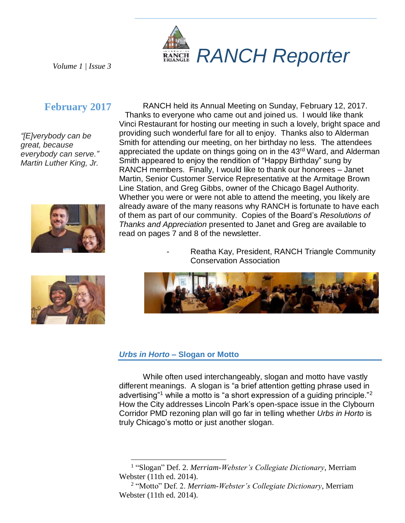

*Volume 1 | Issue 3*

# **February 2017**

*"[E]verybody can be great, because everybody can serve." Martin Luther King, Jr.*





RANCH held its Annual Meeting on Sunday, February 12, 2017. Thanks to everyone who came out and joined us. I would like thank Vinci Restaurant for hosting our meeting in such a lovely, bright space and providing such wonderful fare for all to enjoy. Thanks also to Alderman Smith for attending our meeting, on her birthday no less. The attendees appreciated the update on things going on in the 43<sup>rd</sup> Ward, and Alderman Smith appeared to enjoy the rendition of "Happy Birthday" sung by RANCH members. Finally, I would like to thank our honorees – Janet Martin, Senior Customer Service Representative at the Armitage Brown Line Station, and Greg Gibbs, owner of the Chicago Bagel Authority. Whether you were or were not able to attend the meeting, you likely are already aware of the many reasons why RANCH is fortunate to have each of them as part of our community. Copies of the Board's *Resolutions of Thanks and Appreciation* presented to Janet and Greg are available to read on pages 7 and 8 of the newsletter.

> Reatha Kay, President, RANCH Triangle Community Conservation Association



#### *Urbs in Horto* **– Slogan or Motto**

 $\overline{a}$ 

While often used interchangeably, slogan and motto have vastly different meanings. A slogan is "a brief attention getting phrase used in advertising"<sup>1</sup> while a motto is "a short expression of a guiding principle."<sup>2</sup> How the City addresses Lincoln Park's open-space issue in the Clybourn Corridor PMD rezoning plan will go far in telling whether *Urbs in Horto* is truly Chicago's motto or just another slogan.

<sup>1</sup> "Slogan" Def. 2. *Merriam-Webster's Collegiate Dictionary*, Merriam Webster (11th ed. 2014).

<sup>2</sup> "Motto" Def. 2. *Merriam-Webster's Collegiate Dictionary*, Merriam Webster (11th ed. 2014).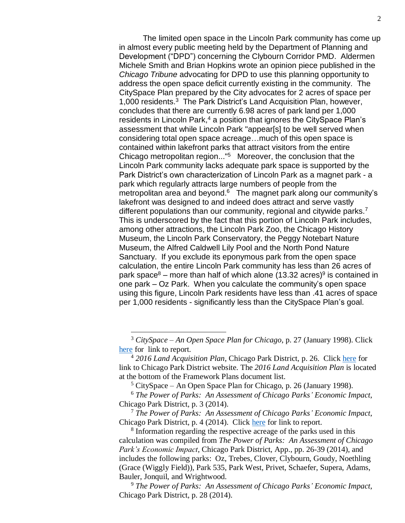The limited open space in the Lincoln Park community has come up in almost every public meeting held by the Department of Planning and Development ("DPD") concerning the Clybourn Corridor PMD. Aldermen Michele Smith and Brian Hopkins wrote an opinion piece published in the *Chicago Tribune* advocating for DPD to use this planning opportunity to address the open space deficit currently existing in the community. The CitySpace Plan prepared by the City advocates for 2 acres of space per 1,000 residents. 3 The Park District's Land Acquisition Plan, however, concludes that there are currently 6.98 acres of park land per 1,000 residents in Lincoln Park, <sup>4</sup> a position that ignores the CitySpace Plan's assessment that while Lincoln Park "appear[s] to be well served when considering total open space acreage…much of this open space is contained within lakefront parks that attract visitors from the entire Chicago metropolitan region..." <sup>5</sup> Moreover, the conclusion that the Lincoln Park community lacks adequate park space is supported by the Park District's own characterization of Lincoln Park as a magnet park - a park which regularly attracts large numbers of people from the metropolitan area and beyond.<sup>6</sup> The magnet park along our community's lakefront was designed to and indeed does attract and serve vastly different populations than our community, regional and citywide parks.<sup>7</sup> This is underscored by the fact that this portion of Lincoln Park includes, among other attractions, the Lincoln Park Zoo, the Chicago History Museum, the Lincoln Park Conservatory, the Peggy Notebart Nature Museum, the Alfred Caldwell Lily Pool and the North Pond Nature Sanctuary. If you exclude its eponymous park from the open space calculation, the entire Lincoln Park community has less than 26 acres of park space<sup>8</sup> – more than half of which alone (13.32 acres)<sup>9</sup> is contained in one park – Oz Park. When you calculate the community's open space using this figure, Lincoln Park residents have less than .41 acres of space per 1,000 residents - significantly less than the CitySpace Plan's goal.

l

<sup>3</sup> *CitySpace – An Open Space Plan for Chicago*, p. 27 (January 1998). Click [here](https://www.cityofchicago.org/city/en/depts/dcd/supp_info/cityspace_plan.html) for link to report.

<sup>4</sup> *2016 Land Acquisition Plan*, Chicago Park District, p. 26. Click [here](http://www.chicagoparkdistrict.com/departments/operations/planning-construction/) for link to Chicago Park District website. The *2016 Land Acquisition Plan* is located at the bottom of the Framework Plans document list.

 $5$  CitySpace – An Open Space Plan for Chicago, p. 26 (January 1998).

<sup>6</sup> *The Power of Parks: An Assessment of Chicago Parks' Economic Impact*, Chicago Park District, p. 3 (2014).

<sup>7</sup> *The Power of Parks: An Assessment of Chicago Parks' Economic Impact*, Chicago Park District, p. 4 (2014). Click [here](http://www.ccachicago.org/wp-content/uploads/2015/08/The-Power-of-Park-Brochure-150713-2-.compressed.pdf) for link to report.

<sup>&</sup>lt;sup>8</sup> Information regarding the respective acreage of the parks used in this calculation was compiled from *The Power of Parks: An Assessment of Chicago Park's Economic Impact*, Chicago Park District, App., pp. 26-39 (2014), and includes the following parks: Oz, Trebes, Clover, Clybourn, Goudy, Noethling (Grace (Wiggly Field)), Park 535, Park West, Privet, Schaefer, Supera, Adams, Bauler, Jonquil, and Wrightwood.

<sup>9</sup> *The Power of Parks: An Assessment of Chicago Parks' Economic Impact*, Chicago Park District, p. 28 (2014).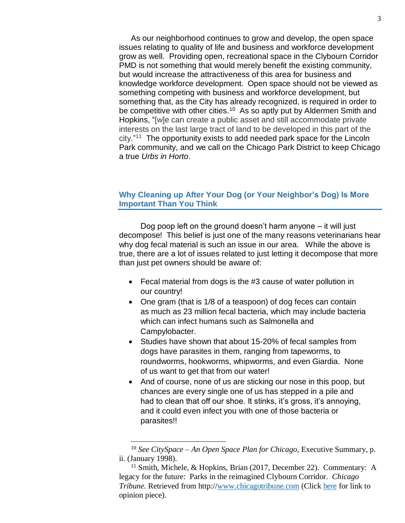As our neighborhood continues to grow and develop, the open space issues relating to quality of life and business and workforce development grow as well. Providing open, recreational space in the Clybourn Corridor PMD is not something that would merely benefit the existing community, but would increase the attractiveness of this area for business and knowledge workforce development. Open space should not be viewed as something competing with business and workforce development, but something that, as the City has already recognized, is required in order to be competitive with other cities.<sup>10</sup> As so aptly put by Aldermen Smith and Hopkins, "[w]e can create a public asset and still accommodate private interests on the last large tract of land to be developed in this part of the city." <sup>11</sup> The opportunity exists to add needed park space for the Lincoln Park community, and we call on the Chicago Park District to keep Chicago a true *Urbs in Horto*.

## **Why Cleaning up After Your Dog (or Your Neighbor's Dog) Is More Important Than You Think**

Dog poop left on the ground doesn't harm anyone – it will just decompose! This belief is just one of the many reasons veterinarians hear why dog fecal material is such an issue in our area. While the above is true, there are a lot of issues related to just letting it decompose that more than just pet owners should be aware of:

- Fecal material from dogs is the #3 cause of water pollution in our country!
- One gram (that is 1/8 of a teaspoon) of dog feces can contain as much as 23 million fecal bacteria, which may include bacteria which can infect humans such as Salmonella and Campylobacter.
- Studies have shown that about 15-20% of fecal samples from dogs have parasites in them, ranging from tapeworms, to roundworms, hookworms, whipworms, and even Giardia. None of us want to get that from our water!
- And of course, none of us are sticking our nose in this poop, but chances are every single one of us has stepped in a pile and had to clean that off our shoe. It stinks, it's gross, it's annoying, and it could even infect you with one of those bacteria or parasites!!

<sup>10</sup> *See CitySpace – An Open Space Plan for Chicago*, Executive Summary, p. ii. (January 1998).

<sup>&</sup>lt;sup>11</sup> Smith, Michele, & Hopkins, Brian (2017, December 22). Commentary: A legacy for the future: Parks in the reimagined Clybourn Corridor. *Chicago Tribune.* Retrieved from http:/[/www.chicagotribune.com](http://www.chicagotribune.com/) (Click [here](http://www.chicagotribune.com/news/opinion/commentary/ct-finkl-parkland-grant-park-montgomery-ward-perspec-1223-jm-20161222-story.html) for link to opinion piece).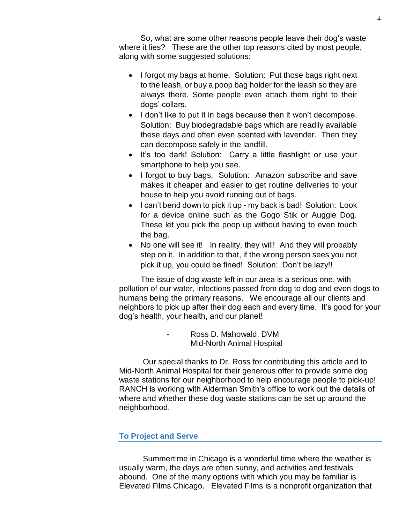So, what are some other reasons people leave their dog's waste where it lies? These are the other top reasons cited by most people, along with some suggested solutions:

- I forgot my bags at home. Solution: Put those bags right next to the leash, or buy a poop bag holder for the leash so they are always there. Some people even attach them right to their dogs' collars.
- I don't like to put it in bags because then it won't decompose. Solution: Buy biodegradable bags which are readily available these days and often even scented with lavender. Then they can decompose safely in the landfill.
- It's too dark! Solution: Carry a little flashlight or use your smartphone to help you see.
- I forgot to buy bags. Solution: Amazon subscribe and save makes it cheaper and easier to get routine deliveries to your house to help you avoid running out of bags.
- I can't bend down to pick it up my back is bad! Solution: Look for a device online such as the Gogo Stik or Auggie Dog. These let you pick the poop up without having to even touch the bag.
- No one will see it! In reality, they will! And they will probably step on it. In addition to that, if the wrong person sees you not pick it up, you could be fined! Solution: Don't be lazy!!

The issue of dog waste left in our area is a serious one, with pollution of our water, infections passed from dog to dog and even dogs to humans being the primary reasons. We encourage all our clients and neighbors to pick up after their dog each and every time. It's good for your dog's health, your health, and our planet!

> Ross D. Mahowald, DVM Mid-North Animal Hospital

Our special thanks to Dr. Ross for contributing this article and to Mid-North Animal Hospital for their generous offer to provide some dog waste stations for our neighborhood to help encourage people to pick-up! RANCH is working with Alderman Smith's office to work out the details of where and whether these dog waste stations can be set up around the neighborhood.

## **To Project and Serve**

Summertime in Chicago is a wonderful time where the weather is usually warm, the days are often sunny, and activities and festivals abound. One of the many options with which you may be familiar is Elevated Films Chicago. Elevated Films is a nonprofit organization that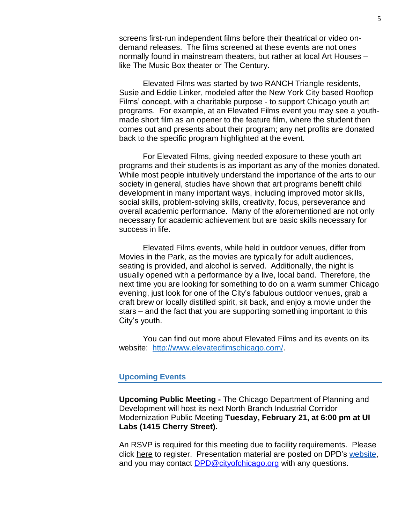screens first-run independent films before their theatrical or video ondemand releases. The films screened at these events are not ones normally found in mainstream theaters, but rather at local Art Houses – like The Music Box theater or The Century.

Elevated Films was started by two RANCH Triangle residents, Susie and Eddie Linker, modeled after the New York City based Rooftop Films' concept, with a charitable purpose - to support Chicago youth art programs. For example, at an Elevated Films event you may see a youthmade short film as an opener to the feature film, where the student then comes out and presents about their program; any net profits are donated back to the specific program highlighted at the event.

For Elevated Films, giving needed exposure to these youth art programs and their students is as important as any of the monies donated. While most people intuitively understand the importance of the arts to our society in general, studies have shown that art programs benefit child development in many important ways, including improved motor skills, social skills, problem-solving skills, creativity, focus, perseverance and overall academic performance. Many of the aforementioned are not only necessary for academic achievement but are basic skills necessary for success in life.

Elevated Films events, while held in outdoor venues, differ from Movies in the Park, as the movies are typically for adult audiences, seating is provided, and alcohol is served. Additionally, the night is usually opened with a performance by a live, local band. Therefore, the next time you are looking for something to do on a warm summer Chicago evening, just look for one of the City's fabulous outdoor venues, grab a craft brew or locally distilled spirit, sit back, and enjoy a movie under the stars – and the fact that you are supporting something important to this City's youth.

You can find out more about Elevated Films and its events on its website: [http://www.elevatedfimschicago.com/.](http://www.elevatedfimschicago.com/)

#### **Upcoming Events**

**Upcoming Public Meeting -** The Chicago Department of Planning and Development will host its next North Branch Industrial Corridor Modernization Public Meeting **Tuesday, February 21, at 6:00 pm at UI Labs (1415 Cherry Street).**

An RSVP is required for this meeting due to facility requirements. Please click [here](http://r20.rs6.net/tn.jsp?f=001L71LYm0IFp6O3Ms16MYObRDRLU9cGCLM14Wi4CtuQskEmdL5vZA6Sr_yAgMCyvDKyajlkRTIFq35Tix_nwWX43h5FdEvCsZoLf3Hn9iFS-OFF_BEmkD0UCMSXBcAuHMfRpi7EN7LF_P727svK5l80B-H4HnUHCnpat4EASSZSoXyt_mhDqpdOuwPspjg4pPrRLo2GKu0IzCIrEj-a1gzvqME8j2Ov5RGx9sPvvnuss8abuGZE2suMFhEQx3_5x8v8e00_Rt9TM4y8fxPS7ufUy-eR-3aEDot&c=MwjH3TUidmTaXlZmOwxwPCVPvvp7W5xlHYyB9vHOpVrgE6yzN9uvRQ==&ch=gtGgirIHxkaky4zLAesG5dKHuZxEIVXVsy4tPYfumK1I_PWkyLOWxQ==) to register. Presentation material are posted on DPD's [website,](http://r20.rs6.net/tn.jsp?f=001L71LYm0IFp6O3Ms16MYObRDRLU9cGCLM14Wi4CtuQskEmdL5vZA6Sr_yAgMCyvDKF7jFkUmfDtjwNip49yZwBJPrAU2Q8_ezm1cPacLkQ2vBvsnKzpaLx6eBQ19AVcI630SNiMXfzWL03Id6sKts33ql6mn1jSG3JZlF5ZgCgoTIxBLI3y25f5jJywWH12WVWRLYF80eEUM57jtPn488AwkpVbr6M0OXvMotWPD3sWmBJCYfqaeA8MuCOwBBbUiu0BDXe6f_zlQY1Wq9CJoxQA==&c=MwjH3TUidmTaXlZmOwxwPCVPvvp7W5xlHYyB9vHOpVrgE6yzN9uvRQ==&ch=gtGgirIHxkaky4zLAesG5dKHuZxEIVXVsy4tPYfumK1I_PWkyLOWxQ==) and you may contact [DPD@cityofchicago.org](mailto:DPD@cityofchicago.org) with any questions.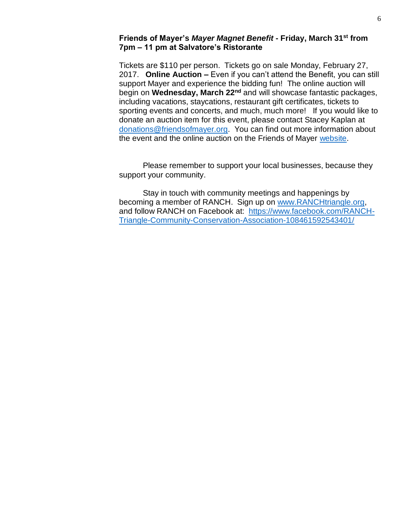### **Friends of Mayer's** *Mayer Magnet Benefit* **- Friday, March 31st from 7pm – 11 pm at Salvatore's Ristorante**

Tickets are \$110 per person. Tickets go on sale Monday, February 27, 2017. **Online Auction –** Even if you can't attend the Benefit, you can still support Mayer and experience the bidding fun! The online auction will begin on **Wednesday, March 22nd** and will showcase fantastic packages, including vacations, staycations, restaurant gift certificates, tickets to sporting events and concerts, and much, much more! If you would like to donate an auction item for this event, please contact Stacey Kaplan at [donations@friendsofmayer.org.](mailto:donations@friendsofmayer.org) You can find out more information about the event and the online auction on the Friends of Mayer [website.](http://www.friendsofmayer.org/)

Please remember to support your local businesses, because they support your community.

Stay in touch with community meetings and happenings by becoming a member of RANCH. Sign up on [www.RANCHtriangle.org,](http://www.ranchtriangle.org/) and follow RANCH on Facebook at: [https://www.facebook.com/RANCH-](https://www.facebook.com/RANCH-Triangle-Community-Conservation-Association-108461592543401/)[Triangle-Community-Conservation-Association-108461592543401/](https://www.facebook.com/RANCH-Triangle-Community-Conservation-Association-108461592543401/)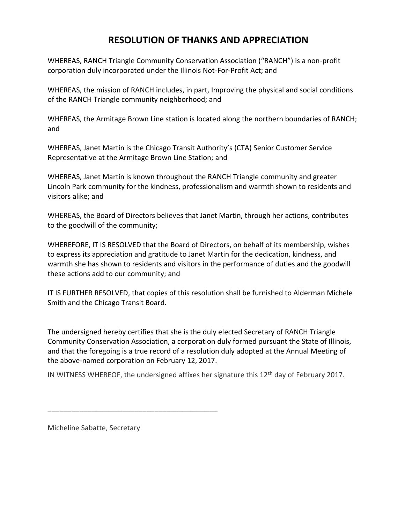# **RESOLUTION OF THANKS AND APPRECIATION**

WHEREAS, RANCH Triangle Community Conservation Association ("RANCH") is a non-profit corporation duly incorporated under the Illinois Not-For-Profit Act; and

WHEREAS, the mission of RANCH includes, in part, Improving the physical and social conditions of the RANCH Triangle community neighborhood; and

WHEREAS, the Armitage Brown Line station is located along the northern boundaries of RANCH; and

WHEREAS, Janet Martin is the Chicago Transit Authority's (CTA) Senior Customer Service Representative at the Armitage Brown Line Station; and

WHEREAS, Janet Martin is known throughout the RANCH Triangle community and greater Lincoln Park community for the kindness, professionalism and warmth shown to residents and visitors alike; and

WHEREAS, the Board of Directors believes that Janet Martin, through her actions, contributes to the goodwill of the community;

WHEREFORE, IT IS RESOLVED that the Board of Directors, on behalf of its membership, wishes to express its appreciation and gratitude to Janet Martin for the dedication, kindness, and warmth she has shown to residents and visitors in the performance of duties and the goodwill these actions add to our community; and

IT IS FURTHER RESOLVED, that copies of this resolution shall be furnished to Alderman Michele Smith and the Chicago Transit Board.

The undersigned hereby certifies that she is the duly elected Secretary of RANCH Triangle Community Conservation Association, a corporation duly formed pursuant the State of Illinois, and that the foregoing is a true record of a resolution duly adopted at the Annual Meeting of the above-named corporation on February 12, 2017.

IN WITNESS WHEREOF, the undersigned affixes her signature this  $12<sup>th</sup>$  day of February 2017.

Micheline Sabatte, Secretary

\_\_\_\_\_\_\_\_\_\_\_\_\_\_\_\_\_\_\_\_\_\_\_\_\_\_\_\_\_\_\_\_\_\_\_\_\_\_\_\_\_\_\_